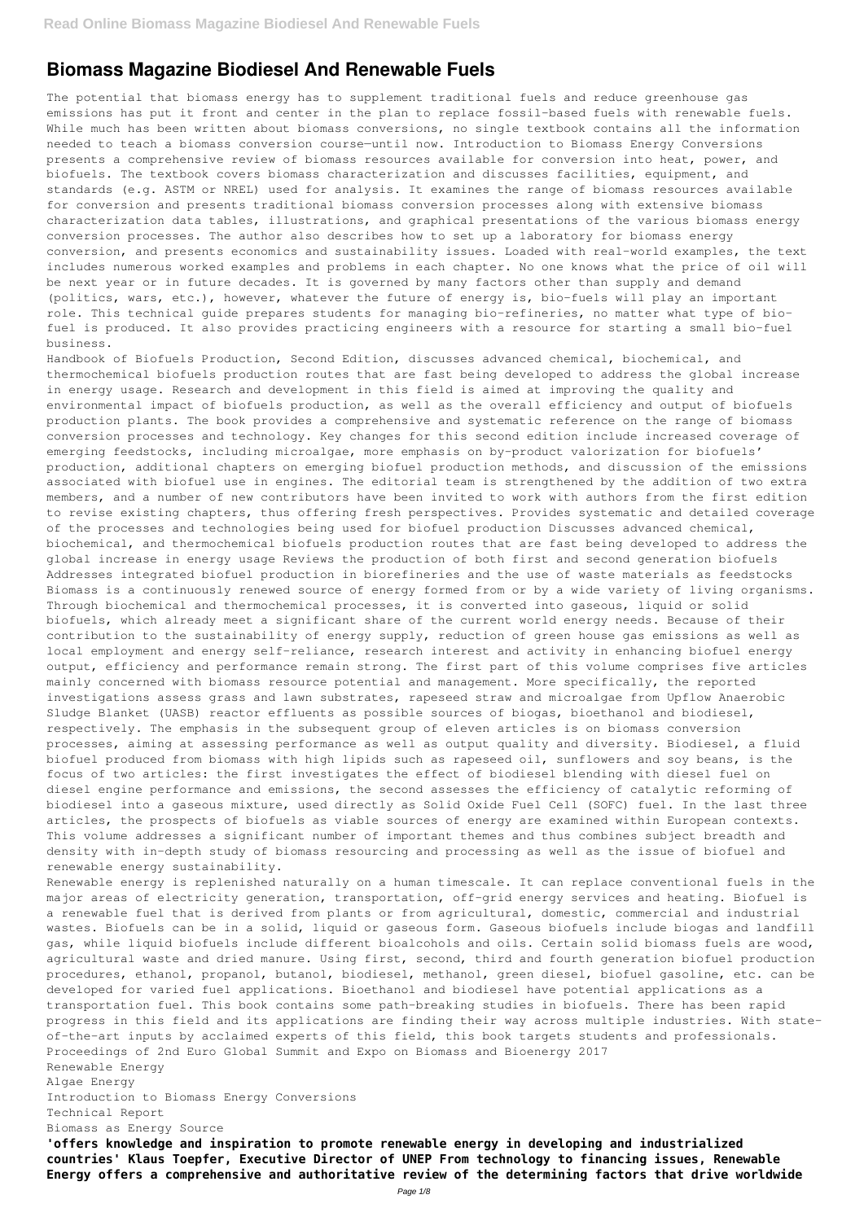# **Biomass Magazine Biodiesel And Renewable Fuels**

The potential that biomass energy has to supplement traditional fuels and reduce greenhouse gas emissions has put it front and center in the plan to replace fossil-based fuels with renewable fuels. While much has been written about biomass conversions, no single textbook contains all the information needed to teach a biomass conversion course—until now. Introduction to Biomass Energy Conversions presents a comprehensive review of biomass resources available for conversion into heat, power, and biofuels. The textbook covers biomass characterization and discusses facilities, equipment, and standards (e.g. ASTM or NREL) used for analysis. It examines the range of biomass resources available for conversion and presents traditional biomass conversion processes along with extensive biomass characterization data tables, illustrations, and graphical presentations of the various biomass energy conversion processes. The author also describes how to set up a laboratory for biomass energy conversion, and presents economics and sustainability issues. Loaded with real-world examples, the text includes numerous worked examples and problems in each chapter. No one knows what the price of oil will be next year or in future decades. It is governed by many factors other than supply and demand (politics, wars, etc.), however, whatever the future of energy is, bio-fuels will play an important role. This technical guide prepares students for managing bio-refineries, no matter what type of biofuel is produced. It also provides practicing engineers with a resource for starting a small bio-fuel business.

Handbook of Biofuels Production, Second Edition, discusses advanced chemical, biochemical, and thermochemical biofuels production routes that are fast being developed to address the global increase in energy usage. Research and development in this field is aimed at improving the quality and environmental impact of biofuels production, as well as the overall efficiency and output of biofuels production plants. The book provides a comprehensive and systematic reference on the range of biomass conversion processes and technology. Key changes for this second edition include increased coverage of emerging feedstocks, including microalgae, more emphasis on by-product valorization for biofuels' production, additional chapters on emerging biofuel production methods, and discussion of the emissions associated with biofuel use in engines. The editorial team is strengthened by the addition of two extra members, and a number of new contributors have been invited to work with authors from the first edition to revise existing chapters, thus offering fresh perspectives. Provides systematic and detailed coverage of the processes and technologies being used for biofuel production Discusses advanced chemical, biochemical, and thermochemical biofuels production routes that are fast being developed to address the global increase in energy usage Reviews the production of both first and second generation biofuels Addresses integrated biofuel production in biorefineries and the use of waste materials as feedstocks Biomass is a continuously renewed source of energy formed from or by a wide variety of living organisms. Through biochemical and thermochemical processes, it is converted into gaseous, liquid or solid biofuels, which already meet a significant share of the current world energy needs. Because of their contribution to the sustainability of energy supply, reduction of green house gas emissions as well as local employment and energy self-reliance, research interest and activity in enhancing biofuel energy output, efficiency and performance remain strong. The first part of this volume comprises five articles mainly concerned with biomass resource potential and management. More specifically, the reported investigations assess grass and lawn substrates, rapeseed straw and microalgae from Upflow Anaerobic Sludge Blanket (UASB) reactor effluents as possible sources of biogas, bioethanol and biodiesel, respectively. The emphasis in the subsequent group of eleven articles is on biomass conversion processes, aiming at assessing performance as well as output quality and diversity. Biodiesel, a fluid biofuel produced from biomass with high lipids such as rapeseed oil, sunflowers and soy beans, is the focus of two articles: the first investigates the effect of biodiesel blending with diesel fuel on diesel engine performance and emissions, the second assesses the efficiency of catalytic reforming of biodiesel into a gaseous mixture, used directly as Solid Oxide Fuel Cell (SOFC) fuel. In the last three articles, the prospects of biofuels as viable sources of energy are examined within European contexts. This volume addresses a significant number of important themes and thus combines subject breadth and density with in-depth study of biomass resourcing and processing as well as the issue of biofuel and renewable energy sustainability.

Renewable energy is replenished naturally on a human timescale. It can replace conventional fuels in the major areas of electricity generation, transportation, off-grid energy services and heating. Biofuel is a renewable fuel that is derived from plants or from agricultural, domestic, commercial and industrial

wastes. Biofuels can be in a solid, liquid or gaseous form. Gaseous biofuels include biogas and landfill gas, while liquid biofuels include different bioalcohols and oils. Certain solid biomass fuels are wood, agricultural waste and dried manure. Using first, second, third and fourth generation biofuel production procedures, ethanol, propanol, butanol, biodiesel, methanol, green diesel, biofuel gasoline, etc. can be developed for varied fuel applications. Bioethanol and biodiesel have potential applications as a transportation fuel. This book contains some path-breaking studies in biofuels. There has been rapid progress in this field and its applications are finding their way across multiple industries. With stateof-the-art inputs by acclaimed experts of this field, this book targets students and professionals. Proceedings of 2nd Euro Global Summit and Expo on Biomass and Bioenergy 2017 Renewable Energy Algae Energy Introduction to Biomass Energy Conversions Technical Report Biomass as Energy Source **'offers knowledge and inspiration to promote renewable energy in developing and industrialized countries' Klaus Toepfer, Executive Director of UNEP From technology to financing issues, Renewable Energy offers a comprehensive and authoritative review of the determining factors that drive worldwide**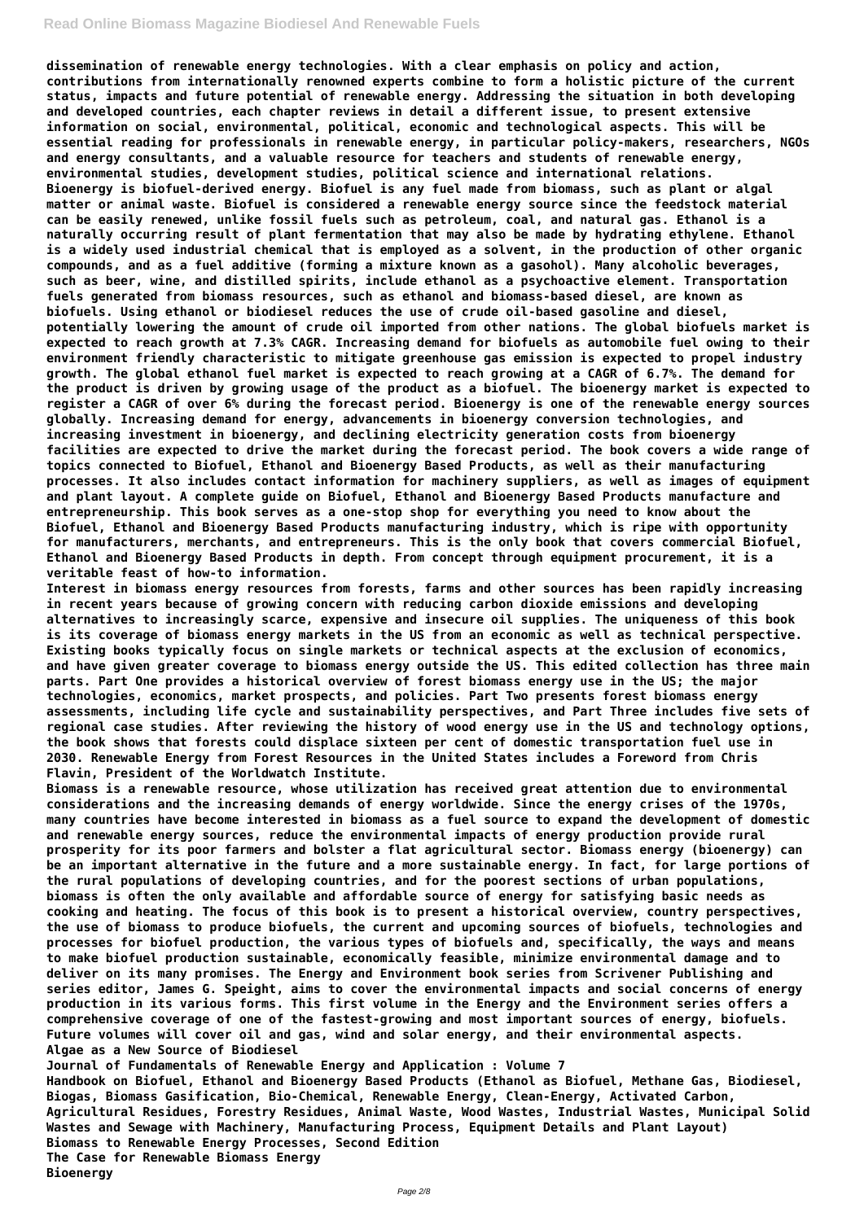**dissemination of renewable energy technologies. With a clear emphasis on policy and action, contributions from internationally renowned experts combine to form a holistic picture of the current status, impacts and future potential of renewable energy. Addressing the situation in both developing and developed countries, each chapter reviews in detail a different issue, to present extensive information on social, environmental, political, economic and technological aspects. This will be essential reading for professionals in renewable energy, in particular policy-makers, researchers, NGOs and energy consultants, and a valuable resource for teachers and students of renewable energy, environmental studies, development studies, political science and international relations. Bioenergy is biofuel-derived energy. Biofuel is any fuel made from biomass, such as plant or algal matter or animal waste. Biofuel is considered a renewable energy source since the feedstock material can be easily renewed, unlike fossil fuels such as petroleum, coal, and natural gas. Ethanol is a naturally occurring result of plant fermentation that may also be made by hydrating ethylene. Ethanol is a widely used industrial chemical that is employed as a solvent, in the production of other organic compounds, and as a fuel additive (forming a mixture known as a gasohol). Many alcoholic beverages, such as beer, wine, and distilled spirits, include ethanol as a psychoactive element. Transportation fuels generated from biomass resources, such as ethanol and biomass-based diesel, are known as biofuels. Using ethanol or biodiesel reduces the use of crude oil-based gasoline and diesel, potentially lowering the amount of crude oil imported from other nations. The global biofuels market is expected to reach growth at 7.3% CAGR. Increasing demand for biofuels as automobile fuel owing to their environment friendly characteristic to mitigate greenhouse gas emission is expected to propel industry growth. The global ethanol fuel market is expected to reach growing at a CAGR of 6.7%. The demand for the product is driven by growing usage of the product as a biofuel. The bioenergy market is expected to register a CAGR of over 6% during the forecast period. Bioenergy is one of the renewable energy sources globally. Increasing demand for energy, advancements in bioenergy conversion technologies, and increasing investment in bioenergy, and declining electricity generation costs from bioenergy facilities are expected to drive the market during the forecast period. The book covers a wide range of topics connected to Biofuel, Ethanol and Bioenergy Based Products, as well as their manufacturing processes. It also includes contact information for machinery suppliers, as well as images of equipment and plant layout. A complete guide on Biofuel, Ethanol and Bioenergy Based Products manufacture and entrepreneurship. This book serves as a one-stop shop for everything you need to know about the Biofuel, Ethanol and Bioenergy Based Products manufacturing industry, which is ripe with opportunity for manufacturers, merchants, and entrepreneurs. This is the only book that covers commercial Biofuel, Ethanol and Bioenergy Based Products in depth. From concept through equipment procurement, it is a veritable feast of how-to information.**

**Interest in biomass energy resources from forests, farms and other sources has been rapidly increasing in recent years because of growing concern with reducing carbon dioxide emissions and developing alternatives to increasingly scarce, expensive and insecure oil supplies. The uniqueness of this book is its coverage of biomass energy markets in the US from an economic as well as technical perspective. Existing books typically focus on single markets or technical aspects at the exclusion of economics, and have given greater coverage to biomass energy outside the US. This edited collection has three main parts. Part One provides a historical overview of forest biomass energy use in the US; the major technologies, economics, market prospects, and policies. Part Two presents forest biomass energy assessments, including life cycle and sustainability perspectives, and Part Three includes five sets of regional case studies. After reviewing the history of wood energy use in the US and technology options, the book shows that forests could displace sixteen per cent of domestic transportation fuel use in 2030. Renewable Energy from Forest Resources in the United States includes a Foreword from Chris Flavin, President of the Worldwatch Institute.**

**Biomass is a renewable resource, whose utilization has received great attention due to environmental considerations and the increasing demands of energy worldwide. Since the energy crises of the 1970s, many countries have become interested in biomass as a fuel source to expand the development of domestic and renewable energy sources, reduce the environmental impacts of energy production provide rural prosperity for its poor farmers and bolster a flat agricultural sector. Biomass energy (bioenergy) can be an important alternative in the future and a more sustainable energy. In fact, for large portions of the rural populations of developing countries, and for the poorest sections of urban populations, biomass is often the only available and affordable source of energy for satisfying basic needs as cooking and heating. The focus of this book is to present a historical overview, country perspectives, the use of biomass to produce biofuels, the current and upcoming sources of biofuels, technologies and processes for biofuel production, the various types of biofuels and, specifically, the ways and means to make biofuel production sustainable, economically feasible, minimize environmental damage and to deliver on its many promises. The Energy and Environment book series from Scrivener Publishing and series editor, James G. Speight, aims to cover the environmental impacts and social concerns of energy production in its various forms. This first volume in the Energy and the Environment series offers a comprehensive coverage of one of the fastest-growing and most important sources of energy, biofuels. Future volumes will cover oil and gas, wind and solar energy, and their environmental aspects. Algae as a New Source of Biodiesel Journal of Fundamentals of Renewable Energy and Application : Volume 7 Handbook on Biofuel, Ethanol and Bioenergy Based Products (Ethanol as Biofuel, Methane Gas, Biodiesel, Biogas, Biomass Gasification, Bio-Chemical, Renewable Energy, Clean-Energy, Activated Carbon, Agricultural Residues, Forestry Residues, Animal Waste, Wood Wastes, Industrial Wastes, Municipal Solid Wastes and Sewage with Machinery, Manufacturing Process, Equipment Details and Plant Layout) Biomass to Renewable Energy Processes, Second Edition The Case for Renewable Biomass Energy Bioenergy**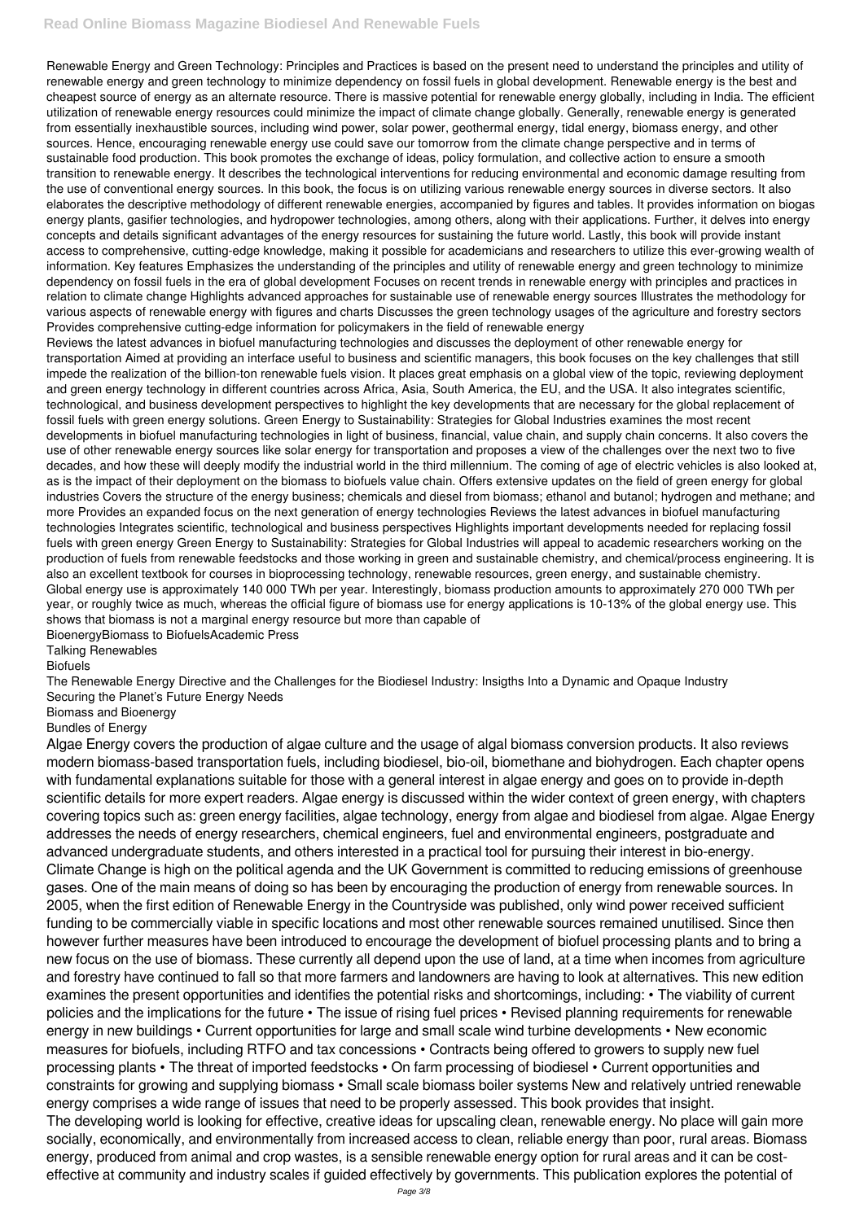## **Read Online Biomass Magazine Biodiesel And Renewable Fuels**

Renewable Energy and Green Technology: Principles and Practices is based on the present need to understand the principles and utility of renewable energy and green technology to minimize dependency on fossil fuels in global development. Renewable energy is the best and cheapest source of energy as an alternate resource. There is massive potential for renewable energy globally, including in India. The efficient utilization of renewable energy resources could minimize the impact of climate change globally. Generally, renewable energy is generated from essentially inexhaustible sources, including wind power, solar power, geothermal energy, tidal energy, biomass energy, and other sources. Hence, encouraging renewable energy use could save our tomorrow from the climate change perspective and in terms of sustainable food production. This book promotes the exchange of ideas, policy formulation, and collective action to ensure a smooth transition to renewable energy. It describes the technological interventions for reducing environmental and economic damage resulting from the use of conventional energy sources. In this book, the focus is on utilizing various renewable energy sources in diverse sectors. It also elaborates the descriptive methodology of different renewable energies, accompanied by figures and tables. It provides information on biogas energy plants, gasifier technologies, and hydropower technologies, among others, along with their applications. Further, it delves into energy concepts and details significant advantages of the energy resources for sustaining the future world. Lastly, this book will provide instant access to comprehensive, cutting-edge knowledge, making it possible for academicians and researchers to utilize this ever-growing wealth of information. Key features Emphasizes the understanding of the principles and utility of renewable energy and green technology to minimize dependency on fossil fuels in the era of global development Focuses on recent trends in renewable energy with principles and practices in relation to climate change Highlights advanced approaches for sustainable use of renewable energy sources Illustrates the methodology for various aspects of renewable energy with figures and charts Discusses the green technology usages of the agriculture and forestry sectors Provides comprehensive cutting-edge information for policymakers in the field of renewable energy

Reviews the latest advances in biofuel manufacturing technologies and discusses the deployment of other renewable energy for transportation Aimed at providing an interface useful to business and scientific managers, this book focuses on the key challenges that still impede the realization of the billion-ton renewable fuels vision. It places great emphasis on a global view of the topic, reviewing deployment and green energy technology in different countries across Africa, Asia, South America, the EU, and the USA. It also integrates scientific, technological, and business development perspectives to highlight the key developments that are necessary for the global replacement of fossil fuels with green energy solutions. Green Energy to Sustainability: Strategies for Global Industries examines the most recent developments in biofuel manufacturing technologies in light of business, financial, value chain, and supply chain concerns. It also covers the use of other renewable energy sources like solar energy for transportation and proposes a view of the challenges over the next two to five decades, and how these will deeply modify the industrial world in the third millennium. The coming of age of electric vehicles is also looked at, as is the impact of their deployment on the biomass to biofuels value chain. Offers extensive updates on the field of green energy for global industries Covers the structure of the energy business; chemicals and diesel from biomass; ethanol and butanol; hydrogen and methane; and more Provides an expanded focus on the next generation of energy technologies Reviews the latest advances in biofuel manufacturing technologies Integrates scientific, technological and business perspectives Highlights important developments needed for replacing fossil fuels with green energy Green Energy to Sustainability: Strategies for Global Industries will appeal to academic researchers working on the production of fuels from renewable feedstocks and those working in green and sustainable chemistry, and chemical/process engineering. It is also an excellent textbook for courses in bioprocessing technology, renewable resources, green energy, and sustainable chemistry. Global energy use is approximately 140 000 TWh per year. Interestingly, biomass production amounts to approximately 270 000 TWh per year, or roughly twice as much, whereas the official figure of biomass use for energy applications is 10-13% of the global energy use. This shows that biomass is not a marginal energy resource but more than capable of

BioenergyBiomass to BiofuelsAcademic Press

Talking Renewables

Biofuels

The Renewable Energy Directive and the Challenges for the Biodiesel Industry: Insigths Into a Dynamic and Opaque Industry Securing the Planet's Future Energy Needs

Biomass and Bioenergy

Bundles of Energy

Algae Energy covers the production of algae culture and the usage of algal biomass conversion products. It also reviews modern biomass-based transportation fuels, including biodiesel, bio-oil, biomethane and biohydrogen. Each chapter opens with fundamental explanations suitable for those with a general interest in algae energy and goes on to provide in-depth scientific details for more expert readers. Algae energy is discussed within the wider context of green energy, with chapters covering topics such as: green energy facilities, algae technology, energy from algae and biodiesel from algae. Algae Energy addresses the needs of energy researchers, chemical engineers, fuel and environmental engineers, postgraduate and advanced undergraduate students, and others interested in a practical tool for pursuing their interest in bio-energy. Climate Change is high on the political agenda and the UK Government is committed to reducing emissions of greenhouse gases. One of the main means of doing so has been by encouraging the production of energy from renewable sources. In 2005, when the first edition of Renewable Energy in the Countryside was published, only wind power received sufficient funding to be commercially viable in specific locations and most other renewable sources remained unutilised. Since then however further measures have been introduced to encourage the development of biofuel processing plants and to bring a new focus on the use of biomass. These currently all depend upon the use of land, at a time when incomes from agriculture and forestry have continued to fall so that more farmers and landowners are having to look at alternatives. This new edition examines the present opportunities and identifies the potential risks and shortcomings, including: • The viability of current policies and the implications for the future • The issue of rising fuel prices • Revised planning requirements for renewable energy in new buildings • Current opportunities for large and small scale wind turbine developments • New economic measures for biofuels, including RTFO and tax concessions • Contracts being offered to growers to supply new fuel processing plants • The threat of imported feedstocks • On farm processing of biodiesel • Current opportunities and constraints for growing and supplying biomass • Small scale biomass boiler systems New and relatively untried renewable energy comprises a wide range of issues that need to be properly assessed. This book provides that insight. The developing world is looking for effective, creative ideas for upscaling clean, renewable energy. No place will gain more socially, economically, and environmentally from increased access to clean, reliable energy than poor, rural areas. Biomass energy, produced from animal and crop wastes, is a sensible renewable energy option for rural areas and it can be costeffective at community and industry scales if guided effectively by governments. This publication explores the potential of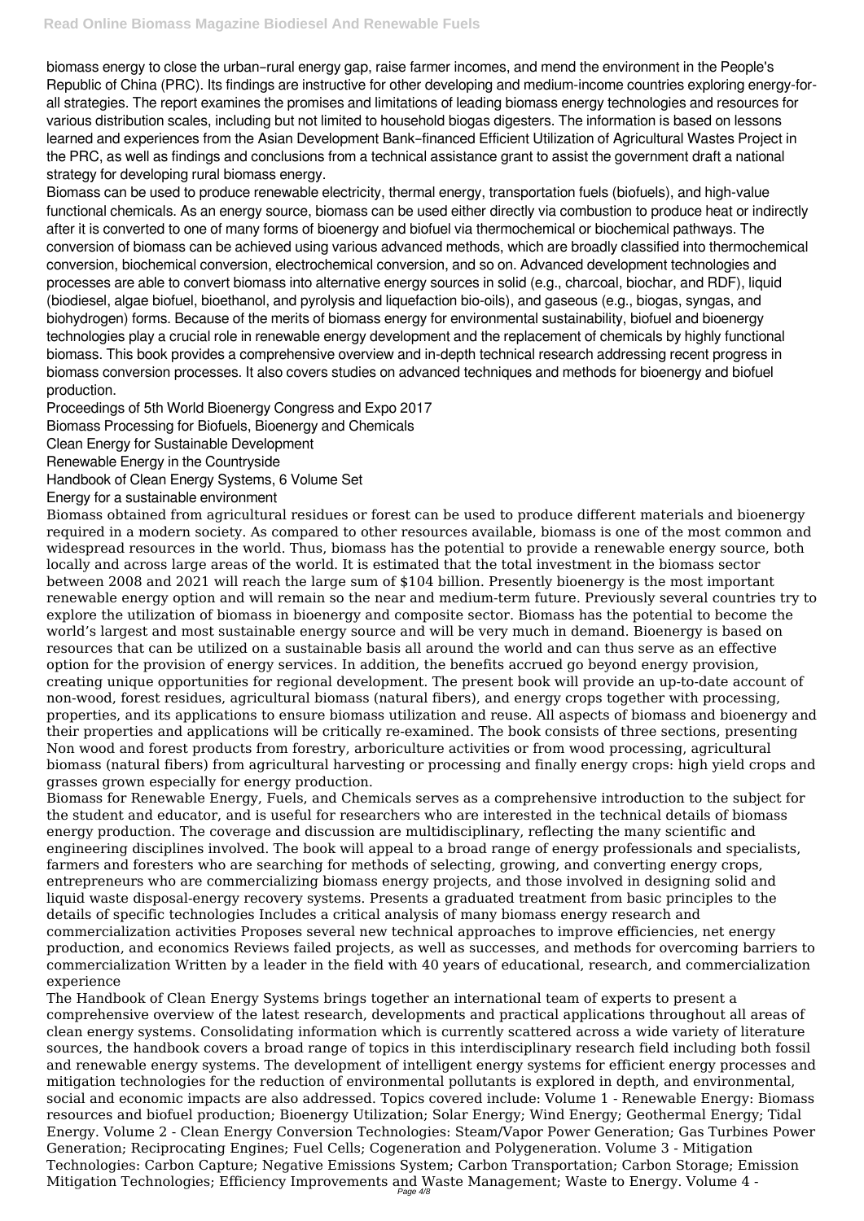biomass energy to close the urban–rural energy gap, raise farmer incomes, and mend the environment in the People's Republic of China (PRC). Its findings are instructive for other developing and medium-income countries exploring energy-forall strategies. The report examines the promises and limitations of leading biomass energy technologies and resources for various distribution scales, including but not limited to household biogas digesters. The information is based on lessons learned and experiences from the Asian Development Bank–financed Efficient Utilization of Agricultural Wastes Project in the PRC, as well as findings and conclusions from a technical assistance grant to assist the government draft a national strategy for developing rural biomass energy.

Biomass can be used to produce renewable electricity, thermal energy, transportation fuels (biofuels), and high-value functional chemicals. As an energy source, biomass can be used either directly via combustion to produce heat or indirectly after it is converted to one of many forms of bioenergy and biofuel via thermochemical or biochemical pathways. The conversion of biomass can be achieved using various advanced methods, which are broadly classified into thermochemical conversion, biochemical conversion, electrochemical conversion, and so on. Advanced development technologies and processes are able to convert biomass into alternative energy sources in solid (e.g., charcoal, biochar, and RDF), liquid (biodiesel, algae biofuel, bioethanol, and pyrolysis and liquefaction bio-oils), and gaseous (e.g., biogas, syngas, and biohydrogen) forms. Because of the merits of biomass energy for environmental sustainability, biofuel and bioenergy technologies play a crucial role in renewable energy development and the replacement of chemicals by highly functional biomass. This book provides a comprehensive overview and in-depth technical research addressing recent progress in biomass conversion processes. It also covers studies on advanced techniques and methods for bioenergy and biofuel production.

Proceedings of 5th World Bioenergy Congress and Expo 2017

Biomass Processing for Biofuels, Bioenergy and Chemicals

Clean Energy for Sustainable Development

Renewable Energy in the Countryside

Handbook of Clean Energy Systems, 6 Volume Set

Energy for a sustainable environment

Biomass obtained from agricultural residues or forest can be used to produce different materials and bioenergy required in a modern society. As compared to other resources available, biomass is one of the most common and widespread resources in the world. Thus, biomass has the potential to provide a renewable energy source, both locally and across large areas of the world. It is estimated that the total investment in the biomass sector between 2008 and 2021 will reach the large sum of \$104 billion. Presently bioenergy is the most important renewable energy option and will remain so the near and medium-term future. Previously several countries try to explore the utilization of biomass in bioenergy and composite sector. Biomass has the potential to become the world's largest and most sustainable energy source and will be very much in demand. Bioenergy is based on resources that can be utilized on a sustainable basis all around the world and can thus serve as an effective option for the provision of energy services. In addition, the benefits accrued go beyond energy provision, creating unique opportunities for regional development. The present book will provide an up-to-date account of non-wood, forest residues, agricultural biomass (natural fibers), and energy crops together with processing, properties, and its applications to ensure biomass utilization and reuse. All aspects of biomass and bioenergy and their properties and applications will be critically re-examined. The book consists of three sections, presenting Non wood and forest products from forestry, arboriculture activities or from wood processing, agricultural biomass (natural fibers) from agricultural harvesting or processing and finally energy crops: high yield crops and grasses grown especially for energy production.

Biomass for Renewable Energy, Fuels, and Chemicals serves as a comprehensive introduction to the subject for the student and educator, and is useful for researchers who are interested in the technical details of biomass energy production. The coverage and discussion are multidisciplinary, reflecting the many scientific and engineering disciplines involved. The book will appeal to a broad range of energy professionals and specialists, farmers and foresters who are searching for methods of selecting, growing, and converting energy crops, entrepreneurs who are commercializing biomass energy projects, and those involved in designing solid and liquid waste disposal-energy recovery systems. Presents a graduated treatment from basic principles to the details of specific technologies Includes a critical analysis of many biomass energy research and commercialization activities Proposes several new technical approaches to improve efficiencies, net energy production, and economics Reviews failed projects, as well as successes, and methods for overcoming barriers to commercialization Written by a leader in the field with 40 years of educational, research, and commercialization experience The Handbook of Clean Energy Systems brings together an international team of experts to present a comprehensive overview of the latest research, developments and practical applications throughout all areas of clean energy systems. Consolidating information which is currently scattered across a wide variety of literature sources, the handbook covers a broad range of topics in this interdisciplinary research field including both fossil and renewable energy systems. The development of intelligent energy systems for efficient energy processes and mitigation technologies for the reduction of environmental pollutants is explored in depth, and environmental, social and economic impacts are also addressed. Topics covered include: Volume 1 - Renewable Energy: Biomass resources and biofuel production; Bioenergy Utilization; Solar Energy; Wind Energy; Geothermal Energy; Tidal Energy. Volume 2 - Clean Energy Conversion Technologies: Steam/Vapor Power Generation; Gas Turbines Power Generation; Reciprocating Engines; Fuel Cells; Cogeneration and Polygeneration. Volume 3 - Mitigation Technologies: Carbon Capture; Negative Emissions System; Carbon Transportation; Carbon Storage; Emission Mitigation Technologies; Efficiency Improvements and Waste Management; Waste to Energy. Volume 4 - Page 4/8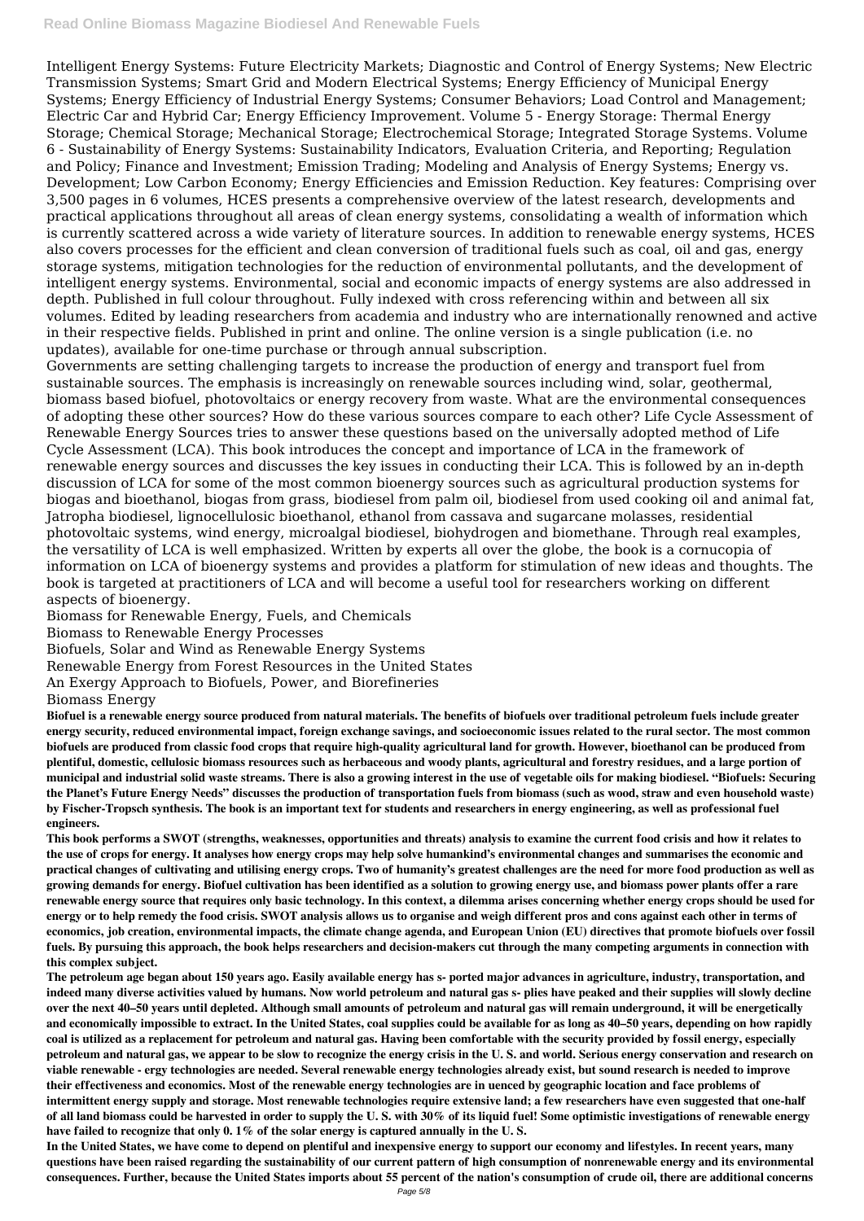Intelligent Energy Systems: Future Electricity Markets; Diagnostic and Control of Energy Systems; New Electric Transmission Systems; Smart Grid and Modern Electrical Systems; Energy Efficiency of Municipal Energy Systems; Energy Efficiency of Industrial Energy Systems; Consumer Behaviors; Load Control and Management; Electric Car and Hybrid Car; Energy Efficiency Improvement. Volume 5 - Energy Storage: Thermal Energy Storage; Chemical Storage; Mechanical Storage; Electrochemical Storage; Integrated Storage Systems. Volume 6 - Sustainability of Energy Systems: Sustainability Indicators, Evaluation Criteria, and Reporting; Regulation and Policy; Finance and Investment; Emission Trading; Modeling and Analysis of Energy Systems; Energy vs. Development; Low Carbon Economy; Energy Efficiencies and Emission Reduction. Key features: Comprising over 3,500 pages in 6 volumes, HCES presents a comprehensive overview of the latest research, developments and practical applications throughout all areas of clean energy systems, consolidating a wealth of information which is currently scattered across a wide variety of literature sources. In addition to renewable energy systems, HCES also covers processes for the efficient and clean conversion of traditional fuels such as coal, oil and gas, energy storage systems, mitigation technologies for the reduction of environmental pollutants, and the development of intelligent energy systems. Environmental, social and economic impacts of energy systems are also addressed in depth. Published in full colour throughout. Fully indexed with cross referencing within and between all six volumes. Edited by leading researchers from academia and industry who are internationally renowned and active in their respective fields. Published in print and online. The online version is a single publication (i.e. no updates), available for one-time purchase or through annual subscription.

Governments are setting challenging targets to increase the production of energy and transport fuel from sustainable sources. The emphasis is increasingly on renewable sources including wind, solar, geothermal, biomass based biofuel, photovoltaics or energy recovery from waste. What are the environmental consequences of adopting these other sources? How do these various sources compare to each other? Life Cycle Assessment of Renewable Energy Sources tries to answer these questions based on the universally adopted method of Life Cycle Assessment (LCA). This book introduces the concept and importance of LCA in the framework of renewable energy sources and discusses the key issues in conducting their LCA. This is followed by an in-depth discussion of LCA for some of the most common bioenergy sources such as agricultural production systems for biogas and bioethanol, biogas from grass, biodiesel from palm oil, biodiesel from used cooking oil and animal fat, Jatropha biodiesel, lignocellulosic bioethanol, ethanol from cassava and sugarcane molasses, residential photovoltaic systems, wind energy, microalgal biodiesel, biohydrogen and biomethane. Through real examples, the versatility of LCA is well emphasized. Written by experts all over the globe, the book is a cornucopia of information on LCA of bioenergy systems and provides a platform for stimulation of new ideas and thoughts. The book is targeted at practitioners of LCA and will become a useful tool for researchers working on different aspects of bioenergy.

Biomass for Renewable Energy, Fuels, and Chemicals

Biomass to Renewable Energy Processes

Biofuels, Solar and Wind as Renewable Energy Systems

Renewable Energy from Forest Resources in the United States

An Exergy Approach to Biofuels, Power, and Biorefineries

Biomass Energy

**Biofuel is a renewable energy source produced from natural materials. The benefits of biofuels over traditional petroleum fuels include greater energy security, reduced environmental impact, foreign exchange savings, and socioeconomic issues related to the rural sector. The most common biofuels are produced from classic food crops that require high-quality agricultural land for growth. However, bioethanol can be produced from plentiful, domestic, cellulosic biomass resources such as herbaceous and woody plants, agricultural and forestry residues, and a large portion of municipal and industrial solid waste streams. There is also a growing interest in the use of vegetable oils for making biodiesel. "Biofuels: Securing the Planet's Future Energy Needs" discusses the production of transportation fuels from biomass (such as wood, straw and even household waste) by Fischer-Tropsch synthesis. The book is an important text for students and researchers in energy engineering, as well as professional fuel engineers.**

**This book performs a SWOT (strengths, weaknesses, opportunities and threats) analysis to examine the current food crisis and how it relates to the use of crops for energy. It analyses how energy crops may help solve humankind's environmental changes and summarises the economic and practical changes of cultivating and utilising energy crops. Two of humanity's greatest challenges are the need for more food production as well as growing demands for energy. Biofuel cultivation has been identified as a solution to growing energy use, and biomass power plants offer a rare renewable energy source that requires only basic technology. In this context, a dilemma arises concerning whether energy crops should be used for energy or to help remedy the food crisis. SWOT analysis allows us to organise and weigh different pros and cons against each other in terms of**

**economics, job creation, environmental impacts, the climate change agenda, and European Union (EU) directives that promote biofuels over fossil fuels. By pursuing this approach, the book helps researchers and decision-makers cut through the many competing arguments in connection with this complex subject.**

**The petroleum age began about 150 years ago. Easily available energy has s- ported major advances in agriculture, industry, transportation, and indeed many diverse activities valued by humans. Now world petroleum and natural gas s- plies have peaked and their supplies will slowly decline over the next 40–50 years until depleted. Although small amounts of petroleum and natural gas will remain underground, it will be energetically and economically impossible to extract. In the United States, coal supplies could be available for as long as 40–50 years, depending on how rapidly coal is utilized as a replacement for petroleum and natural gas. Having been comfortable with the security provided by fossil energy, especially petroleum and natural gas, we appear to be slow to recognize the energy crisis in the U. S. and world. Serious energy conservation and research on viable renewable - ergy technologies are needed. Several renewable energy technologies already exist, but sound research is needed to improve their effectiveness and economics. Most of the renewable energy technologies are in uenced by geographic location and face problems of intermittent energy supply and storage. Most renewable technologies require extensive land; a few researchers have even suggested that one-half of all land biomass could be harvested in order to supply the U. S. with 30% of its liquid fuel! Some optimistic investigations of renewable energy have failed to recognize that only 0. 1% of the solar energy is captured annually in the U. S.**

**In the United States, we have come to depend on plentiful and inexpensive energy to support our economy and lifestyles. In recent years, many questions have been raised regarding the sustainability of our current pattern of high consumption of nonrenewable energy and its environmental consequences. Further, because the United States imports about 55 percent of the nation's consumption of crude oil, there are additional concerns**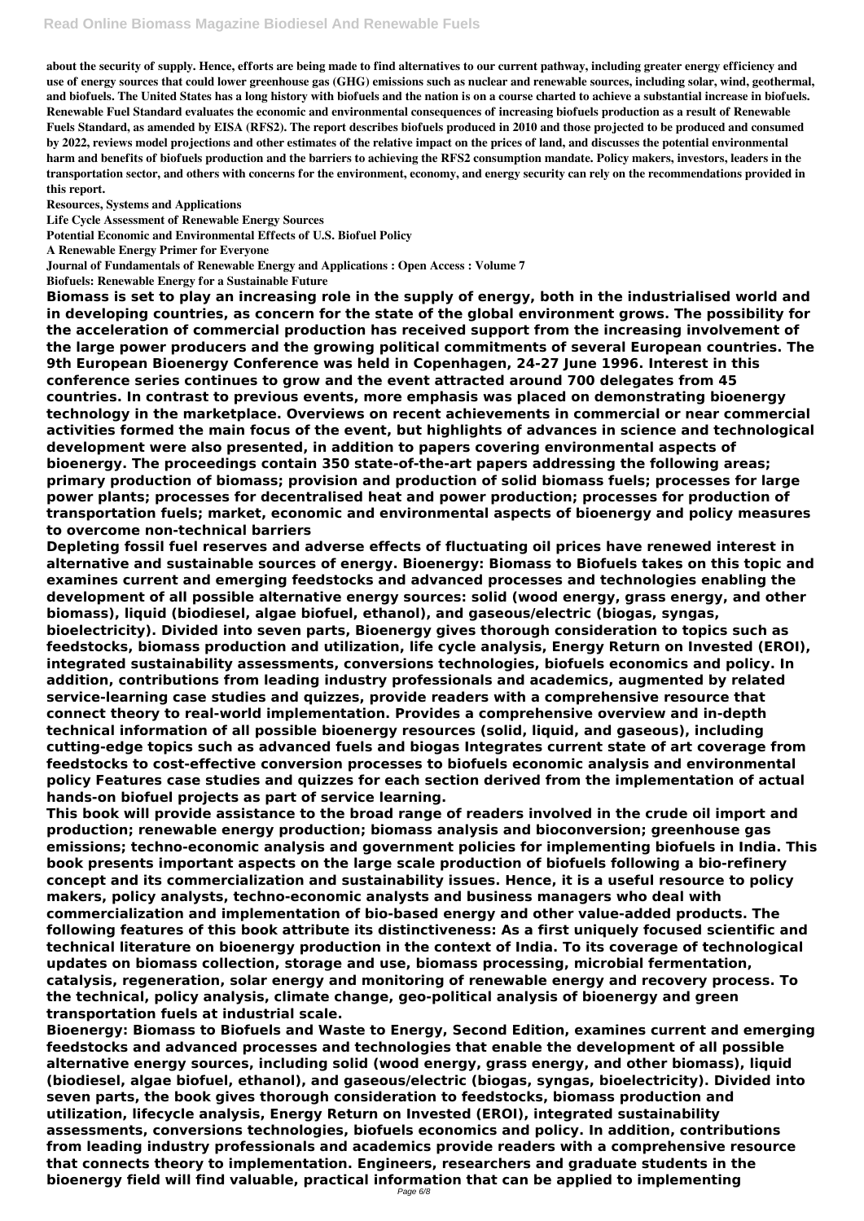**about the security of supply. Hence, efforts are being made to find alternatives to our current pathway, including greater energy efficiency and use of energy sources that could lower greenhouse gas (GHG) emissions such as nuclear and renewable sources, including solar, wind, geothermal, and biofuels. The United States has a long history with biofuels and the nation is on a course charted to achieve a substantial increase in biofuels. Renewable Fuel Standard evaluates the economic and environmental consequences of increasing biofuels production as a result of Renewable Fuels Standard, as amended by EISA (RFS2). The report describes biofuels produced in 2010 and those projected to be produced and consumed by 2022, reviews model projections and other estimates of the relative impact on the prices of land, and discusses the potential environmental harm and benefits of biofuels production and the barriers to achieving the RFS2 consumption mandate. Policy makers, investors, leaders in the transportation sector, and others with concerns for the environment, economy, and energy security can rely on the recommendations provided in this report.**

**Resources, Systems and Applications**

**Life Cycle Assessment of Renewable Energy Sources**

**Potential Economic and Environmental Effects of U.S. Biofuel Policy**

**A Renewable Energy Primer for Everyone**

**Journal of Fundamentals of Renewable Energy and Applications : Open Access : Volume 7**

**Biofuels: Renewable Energy for a Sustainable Future**

**Biomass is set to play an increasing role in the supply of energy, both in the industrialised world and in developing countries, as concern for the state of the global environment grows. The possibility for the acceleration of commercial production has received support from the increasing involvement of the large power producers and the growing political commitments of several European countries. The 9th European Bioenergy Conference was held in Copenhagen, 24-27 June 1996. Interest in this conference series continues to grow and the event attracted around 700 delegates from 45 countries. In contrast to previous events, more emphasis was placed on demonstrating bioenergy technology in the marketplace. Overviews on recent achievements in commercial or near commercial activities formed the main focus of the event, but highlights of advances in science and technological development were also presented, in addition to papers covering environmental aspects of bioenergy. The proceedings contain 350 state-of-the-art papers addressing the following areas; primary production of biomass; provision and production of solid biomass fuels; processes for large power plants; processes for decentralised heat and power production; processes for production of transportation fuels; market, economic and environmental aspects of bioenergy and policy measures to overcome non-technical barriers**

**Depleting fossil fuel reserves and adverse effects of fluctuating oil prices have renewed interest in alternative and sustainable sources of energy. Bioenergy: Biomass to Biofuels takes on this topic and examines current and emerging feedstocks and advanced processes and technologies enabling the development of all possible alternative energy sources: solid (wood energy, grass energy, and other biomass), liquid (biodiesel, algae biofuel, ethanol), and gaseous/electric (biogas, syngas, bioelectricity). Divided into seven parts, Bioenergy gives thorough consideration to topics such as feedstocks, biomass production and utilization, life cycle analysis, Energy Return on Invested (EROI), integrated sustainability assessments, conversions technologies, biofuels economics and policy. In addition, contributions from leading industry professionals and academics, augmented by related service-learning case studies and quizzes, provide readers with a comprehensive resource that connect theory to real-world implementation. Provides a comprehensive overview and in-depth technical information of all possible bioenergy resources (solid, liquid, and gaseous), including cutting-edge topics such as advanced fuels and biogas Integrates current state of art coverage from feedstocks to cost-effective conversion processes to biofuels economic analysis and environmental policy Features case studies and quizzes for each section derived from the implementation of actual hands-on biofuel projects as part of service learning.**

**This book will provide assistance to the broad range of readers involved in the crude oil import and production; renewable energy production; biomass analysis and bioconversion; greenhouse gas emissions; techno-economic analysis and government policies for implementing biofuels in India. This book presents important aspects on the large scale production of biofuels following a bio-refinery concept and its commercialization and sustainability issues. Hence, it is a useful resource to policy makers, policy analysts, techno-economic analysts and business managers who deal with commercialization and implementation of bio-based energy and other value-added products. The following features of this book attribute its distinctiveness: As a first uniquely focused scientific and technical literature on bioenergy production in the context of India. To its coverage of technological updates on biomass collection, storage and use, biomass processing, microbial fermentation, catalysis, regeneration, solar energy and monitoring of renewable energy and recovery process. To the technical, policy analysis, climate change, geo-political analysis of bioenergy and green transportation fuels at industrial scale. Bioenergy: Biomass to Biofuels and Waste to Energy, Second Edition, examines current and emerging feedstocks and advanced processes and technologies that enable the development of all possible alternative energy sources, including solid (wood energy, grass energy, and other biomass), liquid (biodiesel, algae biofuel, ethanol), and gaseous/electric (biogas, syngas, bioelectricity). Divided into seven parts, the book gives thorough consideration to feedstocks, biomass production and utilization, lifecycle analysis, Energy Return on Invested (EROI), integrated sustainability assessments, conversions technologies, biofuels economics and policy. In addition, contributions from leading industry professionals and academics provide readers with a comprehensive resource that connects theory to implementation. Engineers, researchers and graduate students in the bioenergy field will find valuable, practical information that can be applied to implementing**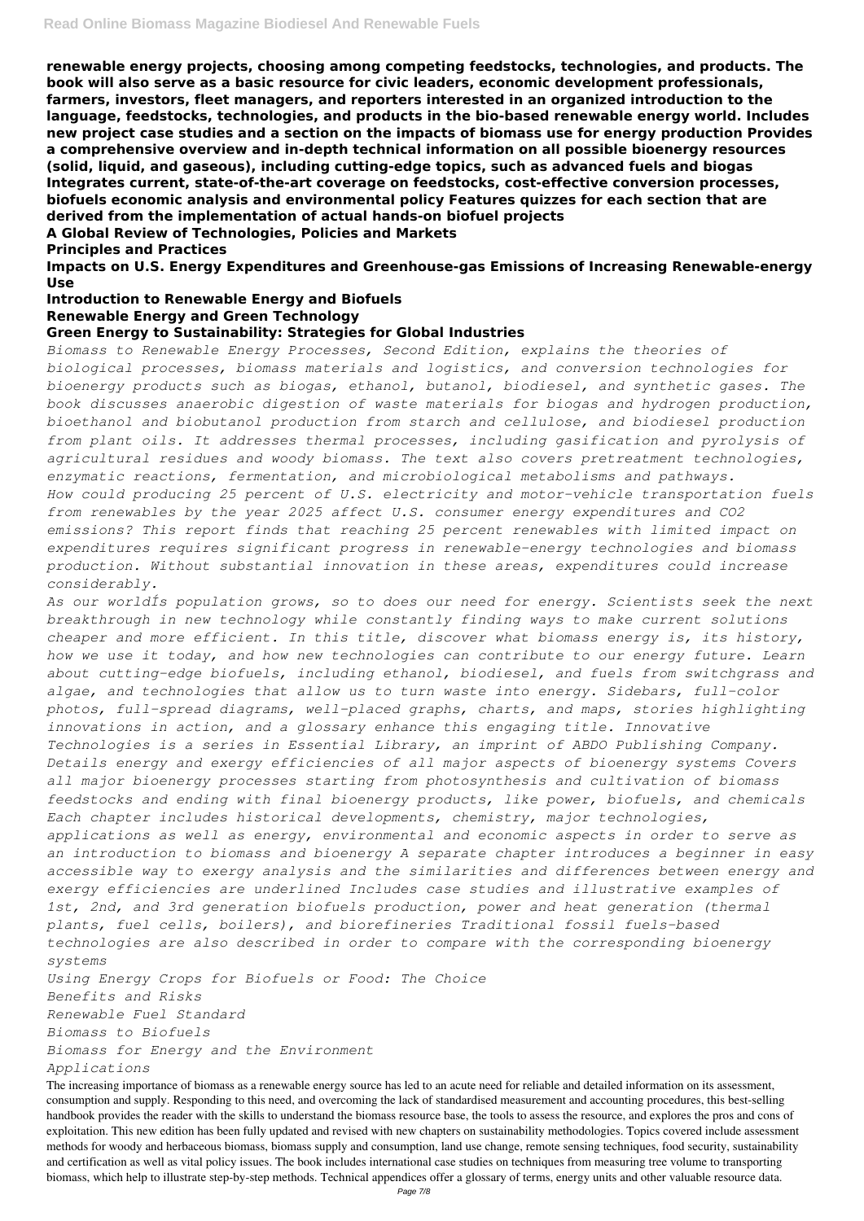**renewable energy projects, choosing among competing feedstocks, technologies, and products. The book will also serve as a basic resource for civic leaders, economic development professionals, farmers, investors, fleet managers, and reporters interested in an organized introduction to the language, feedstocks, technologies, and products in the bio-based renewable energy world. Includes new project case studies and a section on the impacts of biomass use for energy production Provides a comprehensive overview and in-depth technical information on all possible bioenergy resources (solid, liquid, and gaseous), including cutting-edge topics, such as advanced fuels and biogas Integrates current, state-of-the-art coverage on feedstocks, cost-effective conversion processes, biofuels economic analysis and environmental policy Features quizzes for each section that are derived from the implementation of actual hands-on biofuel projects**

**A Global Review of Technologies, Policies and Markets**

**Principles and Practices**

**Impacts on U.S. Energy Expenditures and Greenhouse-gas Emissions of Increasing Renewable-energy Use**

**Introduction to Renewable Energy and Biofuels**

#### **Renewable Energy and Green Technology**

## **Green Energy to Sustainability: Strategies for Global Industries**

*Biomass to Renewable Energy Processes, Second Edition, explains the theories of biological processes, biomass materials and logistics, and conversion technologies for bioenergy products such as biogas, ethanol, butanol, biodiesel, and synthetic gases. The book discusses anaerobic digestion of waste materials for biogas and hydrogen production, bioethanol and biobutanol production from starch and cellulose, and biodiesel production from plant oils. It addresses thermal processes, including gasification and pyrolysis of agricultural residues and woody biomass. The text also covers pretreatment technologies, enzymatic reactions, fermentation, and microbiological metabolisms and pathways. How could producing 25 percent of U.S. electricity and motor-vehicle transportation fuels from renewables by the year 2025 affect U.S. consumer energy expenditures and CO2 emissions? This report finds that reaching 25 percent renewables with limited impact on expenditures requires significant progress in renewable-energy technologies and biomass production. Without substantial innovation in these areas, expenditures could increase considerably.*

*As our worldÍs population grows, so to does our need for energy. Scientists seek the next breakthrough in new technology while constantly finding ways to make current solutions cheaper and more efficient. In this title, discover what biomass energy is, its history, how we use it today, and how new technologies can contribute to our energy future. Learn about cutting-edge biofuels, including ethanol, biodiesel, and fuels from switchgrass and algae, and technologies that allow us to turn waste into energy. Sidebars, full-color photos, full-spread diagrams, well-placed graphs, charts, and maps, stories highlighting innovations in action, and a glossary enhance this engaging title. Innovative Technologies is a series in Essential Library, an imprint of ABDO Publishing Company. Details energy and exergy efficiencies of all major aspects of bioenergy systems Covers all major bioenergy processes starting from photosynthesis and cultivation of biomass feedstocks and ending with final bioenergy products, like power, biofuels, and chemicals Each chapter includes historical developments, chemistry, major technologies, applications as well as energy, environmental and economic aspects in order to serve as an introduction to biomass and bioenergy A separate chapter introduces a beginner in easy accessible way to exergy analysis and the similarities and differences between energy and exergy efficiencies are underlined Includes case studies and illustrative examples of 1st, 2nd, and 3rd generation biofuels production, power and heat generation (thermal plants, fuel cells, boilers), and biorefineries Traditional fossil fuels-based technologies are also described in order to compare with the corresponding bioenergy systems*

*Using Energy Crops for Biofuels or Food: The Choice*

*Benefits and Risks*

*Renewable Fuel Standard*

*Biomass to Biofuels*

*Biomass for Energy and the Environment*

*Applications*

The increasing importance of biomass as a renewable energy source has led to an acute need for reliable and detailed information on its assessment, consumption and supply. Responding to this need, and overcoming the lack of standardised measurement and accounting procedures, this best-selling handbook provides the reader with the skills to understand the biomass resource base, the tools to assess the resource, and explores the pros and cons of exploitation. This new edition has been fully updated and revised with new chapters on sustainability methodologies. Topics covered include assessment methods for woody and herbaceous biomass, biomass supply and consumption, land use change, remote sensing techniques, food security, sustainability and certification as well as vital policy issues. The book includes international case studies on techniques from measuring tree volume to transporting biomass, which help to illustrate step-by-step methods. Technical appendices offer a glossary of terms, energy units and other valuable resource data.